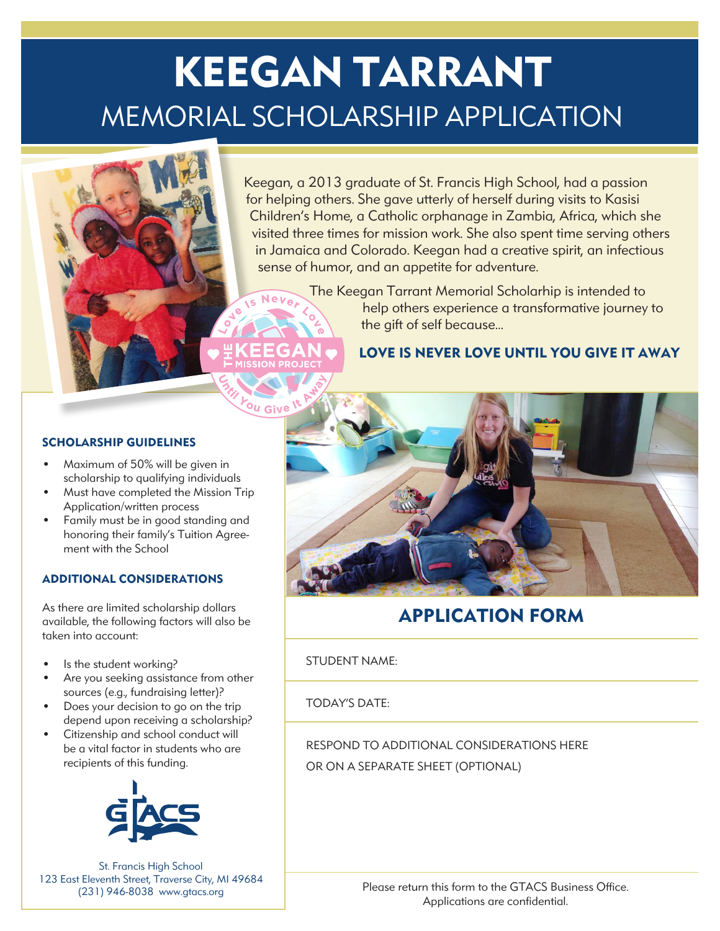# **KEEGAN TARRANT**  MEMORIAL SCHOLARSHIP APPLICATION

Keegan, a 2013 graduate of St. Francis High School, had a passion for helping others. She gave utterly of herself during visits to Kasisi Children's Home, a Catholic orphanage in Zambia, Africa, which she visited three times for mission work. She also spent time serving others in Jamaica and Colorado. Keegan had a creative spirit, an infectious sense of humor, and an appetite for adventure.

> The Keegan Tarrant Memorial Scholarhip is intended to help others experience a transformative journey to the gift of self because...

### **LOVE IS NEVER LOVE UNTIL YOU GIVE IT AWAY**

### **SCHOLARSHIP GUIDELINES**

- Maximum of 50% will be given in scholarship to qualifying individuals
- Must have completed the Mission Trip Application/written process
- Family must be in good standing and honoring their family's Tuition Agreement with the School

### **ADDITIONAL CONSIDERATIONS**

As there are limited scholarship dollars available, the following factors will also be taken into account:

- Is the student working?
- Are you seeking assistance from other sources (e.g., fundraising letter)?
- Does your decision to go on the trip depend upon receiving a scholarship?
- Citizenship and school conduct will be a vital factor in students who are recipients of this funding.



St. Francis High School 123 East Eleventh Street, Traverse City, MI 49684 (231) 946-8038 www.gtacs.org



## **APPLICATION FORM**

### STUDENT NAME:

### TODAY'S DATE:

RESPOND TO ADDITIONAL CONSIDERATIONS HERE OR ON A SEPARATE SHEET (OPTIONAL)